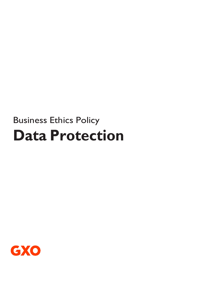# Business Ethics Policy **Data Protection**

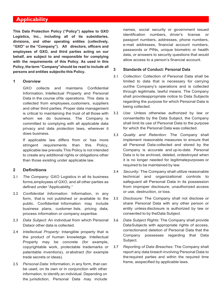# **Applicability**

**This Data Protection Policy ("Policy") applies to GXO Logistics, Inc., including all of its subsidiaries, divisions, and other operating entities (collectively, "GXO" or the "Company"). All directors, officers and employees of GXO, and third parties acting on our behalf, are subject to and responsible for complying with the requirements of this Policy. As used in this Policy, the term "Company"should be read to include all persons and entities subjectto this Policy.**

#### **1 Overview**

GXO collects and maintains Confidential Information, Intellectual Property and Personal Data in the course ofits operations. This data is collected from employees,customers, suppliers and other third parties. Proper data management is critical to maintaining the trust of all those with whom we do business. The Company is committed to complying with all applicable data privacy and data protection laws, wherever it does business.

If applicable law differs from or has more stringent requirements than this Policy, applicable law prevails.This Policy is not intended to create any additional rights or obligations other than those existing under applicable law.

#### **2 Definitions**

- 2.1 *The Company:* GXO Logistics in all its business forms,employees of GXO, and all other parties as defined under "Applicability."
- 2.2 *Confidential Information:* Information, in any form, that is not published or available to the public. Confidential Information may include business plans, customer lists, pricing data, process information or company expertise.
- 2.3 *Data Subject:* An individual from which Personal Dataor other data is collected.
- 2.4 *Intellectual Property:* Intangible property that is the product of human knowledge. Intellectual Property may be concrete (for example, copyrightable work, protectable trademarks or patentable inventions), orabstract (for example trade secrets or ideas).
- 2.5 *Personal Data:* Information, in any form, that can be used, on its own or in conjunction with other information, to identify an individual. Depending on the jurisdiction, Personal Data may include

names, social security or government issued identification numbers, driver's license or passport numbers, addresses, phone numbers, e-mail addresses, financial account numbers, passwords or PINs, unique biometric or health data, or answers to security questions that would allow access to a person's financial account.

#### **3 Standards of Conduct: Personal Data**

- 3.1 *Collection:* Collection of Personal Data shall be limited to data that is necessary for carrying outthe Company's operations and is collected through legitimate, lawful means. The Company shall provideappropriate notice to Data Subjects regarding the purpose for which Personal Data is being collected.
- 3.2 *Use:* Unless otherwise authorized by law or consentedto by the Data Subject, the Company shall limit its use of Personal Data to the purpose for which the Personal Data was collected.
- 3.3 *Quality and Retention:* The Company shall implement reasonable measures to ensure that all Personal Data collected and stored by the Company is accurate and up-to-date. Personal Data is to be archived, deleted, ordestroyed when it is no longer needed for legitimatepurposes or required to be maintained by law.
- 3.4 *Security:* The Company shall utilize reasonable technical and organizational controls to safeguard all Personal Data in its possession from improper disclosure, unauthorized access or use, destruction, or loss.
- 3.5 *Disclosure:* The Company shall not disclose or share Personal Data with any other person or entity unless disclosure is authorized by law or consented to by theData Subject.
- 3.6 *Data Subject Rights:* The Company shall provide DataSubjects with appropriate rights of access, correctionand deletion of Personal Data that the Company possesses regarding that Data Subject.
- 3.7 *Reporting of Data Breaches:* The Company shall report any data breach involving Personal Data to therequired parties and within the required time frame, asspecified by applicable laws.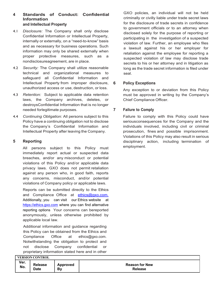### **4 Standards of Conduct: Confidential Information and Intellectual Property**

- 4.1 *Disclosure:* The Company shall only disclose Confidential Information or Intellectual Property, internally or externally, on a "need-to-know" basis and as necessary for business operations. Such information may only be shared externally when proper protective measures, such as a nondisclosureagreement, are in place.
- 4.2 *Security:* The Company shall utilize reasonable technical and organizational measures to safeguard all Confidential Information and Intellectual Property from improper disclosure, unauthorized access or use, destruction, or loss.
- 4.3 *Retention:* Subject to applicable data retention laws, the Company archives, deletes, or destroysConfidential Information that is no longer needed forlegitimate purposes.
- 4.4 *Continuing Obligation:* All persons subject to this Policy have a continuing obligation not to disclose the Company's Confidential Information and Intellectual Property after leaving the Company.

# **5 Reporting**

All persons subject to this Policy must immediately report actual or suspected data breaches, and/or any misconduct or potential violations of this Policy and/or applicable data privacy laws. GXO does not permit retaliation against any person who, in good faith, reports any concerns, misconduct, and/or potential violations of Company policy or applicable laws.

Reports can be submitted directly to the Ethics and Compliance Office at [ethics@gxo.com.](mailto:ethics@gxo.com.) Additionally, you can visit our Ethics website at [https://ethics.gxo.com](https://ethics.gxo.com/) where you can find alternative reporting options Your concerns can bereported anonymously, unless otherwise prohibited by applicable local law.

Additional information and guidance regarding this Policy can be obtained from the Ethics and Compliance Office at [ethics@gxo.com.](mailto:ethics@gxo.com) Notwithstanding the obligation to protect and not disclose Company confidential or proprietary information stated here and in other GXO policies, an individual will not be held criminally or civilly liable under trade secret laws for the disclosure of trade secrets in confidence to government officials or to an attorney when disclosed solely for the purpose of reporting or participating in the investigation of a suspected violation of law. Further, an employee who files a lawsuit against his or her employer for retaliation against the employee for reporting a suspected violation of law may disclose trade secrets to his or her attorney and in litigation as long as the trade secret information is filed under seal.

# **6 Policy Exceptions**

Any exception to or deviation from this Policy must be approved in writing by the Company's Chief Compliance Officer.

# **7 Failure to Comply**

Failure to comply with this Policy could have seriousconsequences for the Company and the individuals involved, including civil or criminal prosecution, fines and possible imprisonment. Violations of this Policy may also result in serious disciplinary action, including termination of employment.

| <b>VERSION CONTROL</b> |                |                 |                       |  |  |  |
|------------------------|----------------|-----------------|-----------------------|--|--|--|
| Ver.                   | <b>Release</b> | <b>Approved</b> | <b>Reason for New</b> |  |  |  |
| No.                    | Date           | Bν              | <b>Release</b>        |  |  |  |